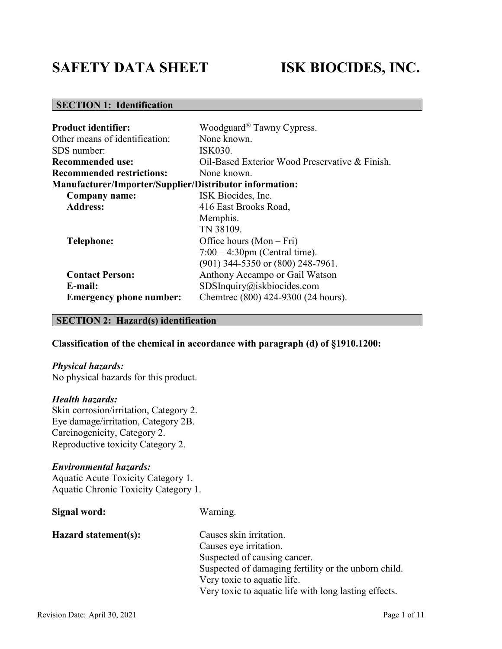# **SAFETY DATA SHEET ISK BIOCIDES, INC.**

# **SECTION 1: Identification**

| <b>Product identifier:</b>                                          | Woodguard <sup>®</sup> Tawny Cypress.                                                                 |
|---------------------------------------------------------------------|-------------------------------------------------------------------------------------------------------|
| Other means of identification:                                      | None known.                                                                                           |
| SDS number:                                                         | ISK030.                                                                                               |
| <b>Recommended use:</b>                                             | Oil-Based Exterior Wood Preservative & Finish.                                                        |
| <b>Recommended restrictions:</b>                                    | None known.                                                                                           |
| <b>Manufacturer/Importer/Supplier/Distributor information:</b>      |                                                                                                       |
| <b>Company name:</b>                                                | ISK Biocides, Inc.                                                                                    |
| <b>Address:</b>                                                     | 416 East Brooks Road,                                                                                 |
|                                                                     | Memphis.<br>TN 38109.                                                                                 |
| <b>Telephone:</b>                                                   | Office hours $(Mon-Fri)$<br>$7:00 - 4:30$ pm (Central time).<br>$(901)$ 344-5350 or $(800)$ 248-7961. |
| <b>Contact Person:</b><br>E-mail:<br><b>Emergency phone number:</b> | Anthony Accampo or Gail Watson<br>SDSInquiry@iskbiocides.com<br>Chemtrec (800) 424-9300 (24 hours).   |

# **SECTION 2: Hazard(s) identification**

# **Classification of the chemical in accordance with paragraph (d) of §1910.1200:**

#### *Physical hazards:*

No physical hazards for this product.

# *Health hazards:*

Skin corrosion/irritation, Category 2. Eye damage/irritation, Category 2B. Carcinogenicity, Category 2. Reproductive toxicity Category 2.

# *Environmental hazards:*

Aquatic Acute Toxicity Category 1. Aquatic Chronic Toxicity Category 1.

| Signal word:         | Warning.                                              |
|----------------------|-------------------------------------------------------|
| Hazard statement(s): | Causes skin irritation.                               |
|                      | Causes eye irritation.                                |
|                      | Suspected of causing cancer.                          |
|                      | Suspected of damaging fertility or the unborn child.  |
|                      | Very toxic to aquatic life.                           |
|                      | Very toxic to aquatic life with long lasting effects. |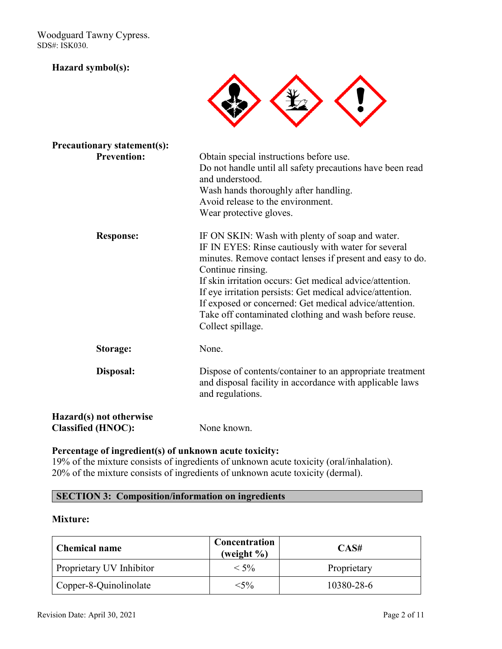# **Hazard symbol(s):**



| <b>Precautionary statement(s):</b>                   |                                                                                                                                                                                                                                                                                                                                                                                                                                                           |
|------------------------------------------------------|-----------------------------------------------------------------------------------------------------------------------------------------------------------------------------------------------------------------------------------------------------------------------------------------------------------------------------------------------------------------------------------------------------------------------------------------------------------|
| <b>Prevention:</b>                                   | Obtain special instructions before use.<br>Do not handle until all safety precautions have been read<br>and understood.<br>Wash hands thoroughly after handling.<br>Avoid release to the environment.<br>Wear protective gloves.                                                                                                                                                                                                                          |
| <b>Response:</b>                                     | IF ON SKIN: Wash with plenty of soap and water.<br>IF IN EYES: Rinse cautiously with water for several<br>minutes. Remove contact lenses if present and easy to do.<br>Continue rinsing.<br>If skin irritation occurs: Get medical advice/attention.<br>If eye irritation persists: Get medical advice/attention.<br>If exposed or concerned: Get medical advice/attention.<br>Take off contaminated clothing and wash before reuse.<br>Collect spillage. |
| Storage:                                             | None.                                                                                                                                                                                                                                                                                                                                                                                                                                                     |
| Disposal:                                            | Dispose of contents/container to an appropriate treatment<br>and disposal facility in accordance with applicable laws<br>and regulations.                                                                                                                                                                                                                                                                                                                 |
| Hazard(s) not otherwise<br><b>Classified (HNOC):</b> | None known.                                                                                                                                                                                                                                                                                                                                                                                                                                               |

# **Percentage of ingredient(s) of unknown acute toxicity:**

19% of the mixture consists of ingredients of unknown acute toxicity (oral/inhalation). 20% of the mixture consists of ingredients of unknown acute toxicity (dermal).

# **SECTION 3: Composition/information on ingredients**

# **Mixture:**

| <b>Chemical name</b>     | Concentration<br>(weight $\%$ ) | CAS#        |
|--------------------------|---------------------------------|-------------|
| Proprietary UV Inhibitor | $< 5\%$                         | Proprietary |
| Copper-8-Quinolinolate   | $<$ 5%                          | 10380-28-6  |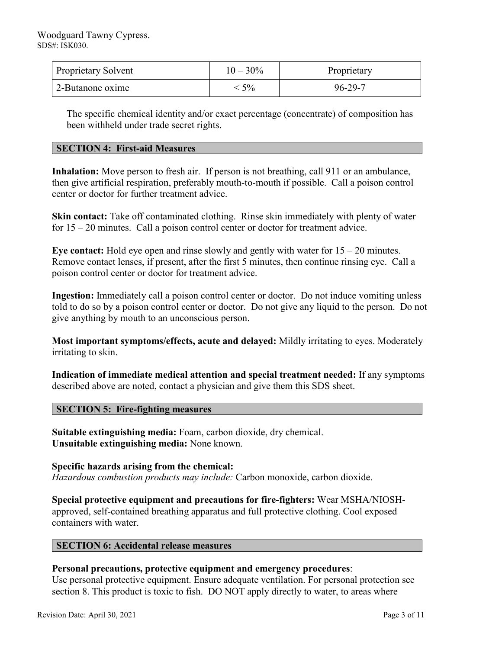| <b>Proprietary Solvent</b> | $10 - 30\%$ | Proprietary   |
|----------------------------|-------------|---------------|
| 2-Butanone oxime           | 5%          | $96 - 29 - 7$ |

The specific chemical identity and/or exact percentage (concentrate) of composition has been withheld under trade secret rights.

# **SECTION 4: First-aid Measures**

**Inhalation:** Move person to fresh air. If person is not breathing, call 911 or an ambulance, then give artificial respiration, preferably mouth-to-mouth if possible. Call a poison control center or doctor for further treatment advice.

**Skin contact:** Take off contaminated clothing. Rinse skin immediately with plenty of water for 15 – 20 minutes. Call a poison control center or doctor for treatment advice.

**Eye contact:** Hold eye open and rinse slowly and gently with water for 15 – 20 minutes. Remove contact lenses, if present, after the first 5 minutes, then continue rinsing eye. Call a poison control center or doctor for treatment advice.

**Ingestion:** Immediately call a poison control center or doctor. Do not induce vomiting unless told to do so by a poison control center or doctor. Do not give any liquid to the person. Do not give anything by mouth to an unconscious person.

**Most important symptoms/effects, acute and delayed:** Mildly irritating to eyes. Moderately irritating to skin.

**Indication of immediate medical attention and special treatment needed:** If any symptoms described above are noted, contact a physician and give them this SDS sheet.

# **SECTION 5: Fire-fighting measures**

**Suitable extinguishing media:** Foam, carbon dioxide, dry chemical. **Unsuitable extinguishing media:** None known.

**Specific hazards arising from the chemical:** *Hazardous combustion products may include:* Carbon monoxide, carbon dioxide.

**Special protective equipment and precautions for fire-fighters:** Wear MSHA/NIOSHapproved, self-contained breathing apparatus and full protective clothing. Cool exposed containers with water.

# **SECTION 6: Accidental release measures**

# **Personal precautions, protective equipment and emergency procedures**:

Use personal protective equipment. Ensure adequate ventilation. For personal protection see section 8. This product is toxic to fish. DO NOT apply directly to water, to areas where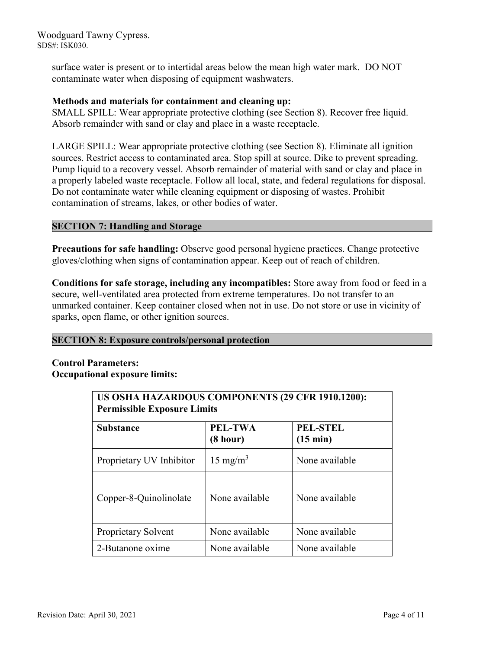> surface water is present or to intertidal areas below the mean high water mark. DO NOT contaminate water when disposing of equipment washwaters.

# **Methods and materials for containment and cleaning up:**

SMALL SPILL: Wear appropriate protective clothing (see Section 8). Recover free liquid. Absorb remainder with sand or clay and place in a waste receptacle.

LARGE SPILL: Wear appropriate protective clothing (see Section 8). Eliminate all ignition sources. Restrict access to contaminated area. Stop spill at source. Dike to prevent spreading. Pump liquid to a recovery vessel. Absorb remainder of material with sand or clay and place in a properly labeled waste receptacle. Follow all local, state, and federal regulations for disposal. Do not contaminate water while cleaning equipment or disposing of wastes. Prohibit contamination of streams, lakes, or other bodies of water.

# **SECTION 7: Handling and Storage**

**Precautions for safe handling:** Observe good personal hygiene practices. Change protective gloves/clothing when signs of contamination appear. Keep out of reach of children.

**Conditions for safe storage, including any incompatibles:** Store away from food or feed in a secure, well-ventilated area protected from extreme temperatures. Do not transfer to an unmarked container. Keep container closed when not in use. Do not store or use in vicinity of sparks, open flame, or other ignition sources.

# **SECTION 8: Exposure controls/personal protection**

# **Control Parameters: Occupational exposure limits:**

| US OSHA HAZARDOUS COMPONENTS (29 CFR 1910.1200):<br><b>Permissible Exposure Limits</b> |                     |                                       |
|----------------------------------------------------------------------------------------|---------------------|---------------------------------------|
| <b>Substance</b>                                                                       | PEL-TWA<br>(8 hour) | <b>PEL-STEL</b><br>$(15 \text{ min})$ |
| Proprietary UV Inhibitor                                                               | $15 \text{ mg/m}^3$ | None available                        |
| Copper-8-Quinolinolate                                                                 | None available      | None available                        |
| Proprietary Solvent                                                                    | None available      | None available                        |
| 2-Butanone oxime                                                                       | None available      | None available                        |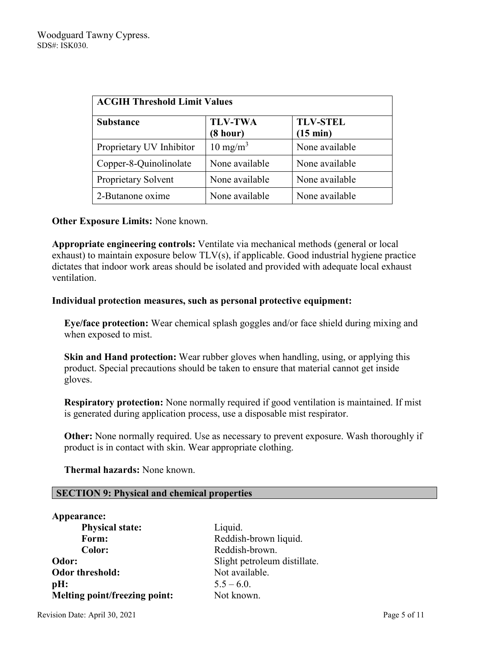| <b>ACGIH Threshold Limit Values</b> |                            |                                       |
|-------------------------------------|----------------------------|---------------------------------------|
| <b>Substance</b>                    | <b>TLV-TWA</b><br>(8 hour) | <b>TLV-STEL</b><br>$(15 \text{ min})$ |
| Proprietary UV Inhibitor            | $10 \text{ mg/m}^3$        | None available                        |
| Copper-8-Quinolinolate              | None available             | None available                        |
| Proprietary Solvent                 | None available             | None available                        |
| 2-Butanone oxime                    | None available             | None available                        |

# **Other Exposure Limits:** None known.

**Appropriate engineering controls:** Ventilate via mechanical methods (general or local exhaust) to maintain exposure below TLV(s), if applicable. Good industrial hygiene practice dictates that indoor work areas should be isolated and provided with adequate local exhaust ventilation.

# **Individual protection measures, such as personal protective equipment:**

**Eye/face protection:** Wear chemical splash goggles and/or face shield during mixing and when exposed to mist.

**Skin and Hand protection:** Wear rubber gloves when handling, using, or applying this product. Special precautions should be taken to ensure that material cannot get inside gloves.

**Respiratory protection:** None normally required if good ventilation is maintained. If mist is generated during application process, use a disposable mist respirator.

**Other:** None normally required. Use as necessary to prevent exposure. Wash thoroughly if product is in contact with skin. Wear appropriate clothing.

 **Thermal hazards:** None known.

# **SECTION 9: Physical and chemical properties**

| Appearance:                   |             |
|-------------------------------|-------------|
| <b>Physical state:</b>        | Liquid.     |
| Form:                         | Reddish-1   |
| Color:                        | Reddish-l   |
| Odor:                         | Slight pet  |
| Odor threshold:               | Not avail   |
| pH:                           | $5.5 - 6.0$ |
| Melting point/freezing point: | Not know    |

dish-brown liquid. dish-brown. ht petroleum distillate. available. known.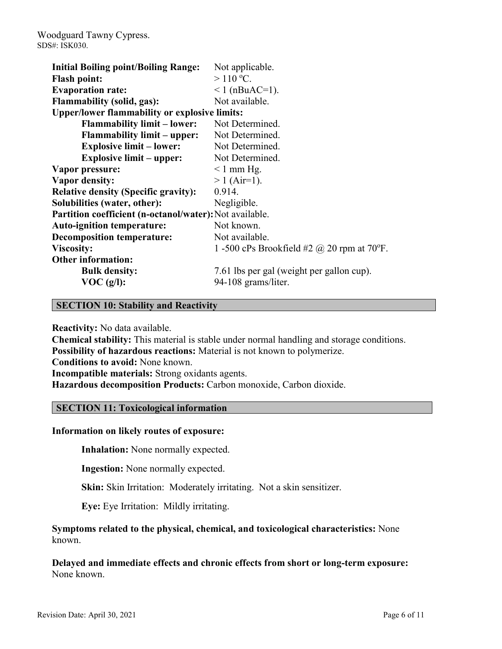| <b>Initial Boiling point/Boiling Range:</b>             | Not applicable.                                   |
|---------------------------------------------------------|---------------------------------------------------|
| <b>Flash point:</b>                                     | $>110$ °C.                                        |
| <b>Evaporation rate:</b>                                | $1$ (nBuAC=1).                                    |
| <b>Flammability (solid, gas):</b>                       | Not available.                                    |
| <b>Upper/lower flammability or explosive limits:</b>    |                                                   |
| <b>Flammability limit – lower:</b>                      | Not Determined.                                   |
| <b>Flammability limit – upper:</b>                      | Not Determined.                                   |
| <b>Explosive limit – lower:</b>                         | Not Determined.                                   |
| <b>Explosive limit – upper:</b>                         | Not Determined.                                   |
| Vapor pressure:                                         | $\leq 1$ mm Hg.                                   |
| Vapor density:                                          | $> 1$ (Air=1).                                    |
| <b>Relative density (Specific gravity):</b>             | 0.914.                                            |
| Solubilities (water, other):                            | Negligible.                                       |
| Partition coefficient (n-octanol/water): Not available. |                                                   |
| <b>Auto-ignition temperature:</b>                       | Not known.                                        |
| <b>Decomposition temperature:</b>                       | Not available.                                    |
| <b>Viscosity:</b>                                       | 1 -500 cPs Brookfield #2 $\omega$ 20 rpm at 70°F. |
| <b>Other information:</b>                               |                                                   |
| <b>Bulk density:</b>                                    | 7.61 lbs per gal (weight per gallon cup).         |
| VOC(g/l):                                               | 94-108 grams/liter.                               |

# **SECTION 10: Stability and Reactivity**

**Reactivity:** No data available.

**Chemical stability:** This material is stable under normal handling and storage conditions. **Possibility of hazardous reactions:** Material is not known to polymerize. **Conditions to avoid:** None known. **Incompatible materials:** Strong oxidants agents. **Hazardous decomposition Products:** Carbon monoxide, Carbon dioxide.

# **SECTION 11: Toxicological information**

# **Information on likely routes of exposure:**

**Inhalation:** None normally expected.

**Ingestion:** None normally expected.

**Skin:** Skin Irritation: Moderately irritating. Not a skin sensitizer.

**Eye:** Eye Irritation: Mildly irritating.

**Symptoms related to the physical, chemical, and toxicological characteristics:** None known.

**Delayed and immediate effects and chronic effects from short or long-term exposure:** None known.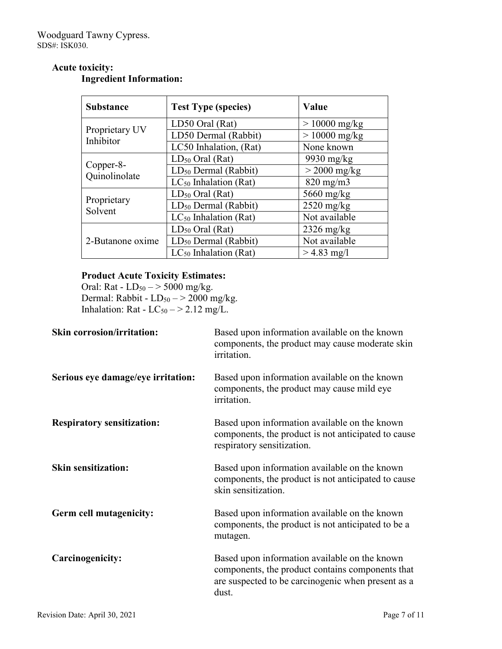# **Acute toxicity:**

| <b>Substance</b>                    | <b>Test Type (species)</b>       | Value                |
|-------------------------------------|----------------------------------|----------------------|
|                                     | LD50 Oral (Rat)                  | $> 10000$ mg/kg      |
| Proprietary UV<br>Inhibitor         | LD50 Dermal (Rabbit)             | $> 10000$ mg/kg      |
|                                     | LC50 Inhalation, (Rat)           | None known           |
|                                     | $LD_{50}$ Oral (Rat)             | 9930 mg/kg           |
| Copper-8-<br>Quinolinolate          | LD <sub>50</sub> Dermal (Rabbit) | $>$ 2000 mg/kg       |
|                                     | $LC_{50}$ Inhalation (Rat)       | $820$ mg/m $3$       |
| $LD_{50}$ Oral (Rat)<br>Proprietary |                                  | 5660 mg/kg           |
| Solvent                             | LD <sub>50</sub> Dermal (Rabbit) | $2520$ mg/kg         |
|                                     | $LC_{50}$ Inhalation (Rat)       | Not available        |
|                                     | $LD_{50}$ Oral (Rat)             | $2326 \text{ mg/kg}$ |
| 2-Butanone oxime                    | LD <sub>50</sub> Dermal (Rabbit) | Not available        |
|                                     | $LC_{50}$ Inhalation (Rat)       | $> 4.83$ mg/l        |

# **Ingredient Information:**

# **Product Acute Toxicity Estimates:**

Oral: Rat -  $LD_{50} \rightarrow 5000$  mg/kg. Dermal: Rabbit -  $LD_{50} \rightarrow 2000$  mg/kg. Inhalation: Rat -  $LC_{50}$   $-$  > 2.12 mg/L.

| <b>Skin corrosion/irritation:</b>  | Based upon information available on the known<br>components, the product may cause moderate skin<br>irritation.                                                  |
|------------------------------------|------------------------------------------------------------------------------------------------------------------------------------------------------------------|
| Serious eye damage/eye irritation: | Based upon information available on the known<br>components, the product may cause mild eye<br>irritation.                                                       |
| <b>Respiratory sensitization:</b>  | Based upon information available on the known<br>components, the product is not anticipated to cause<br>respiratory sensitization.                               |
| <b>Skin sensitization:</b>         | Based upon information available on the known<br>components, the product is not anticipated to cause<br>skin sensitization.                                      |
| Germ cell mutagenicity:            | Based upon information available on the known<br>components, the product is not anticipated to be a<br>mutagen.                                                  |
| Carcinogenicity:                   | Based upon information available on the known<br>components, the product contains components that<br>are suspected to be carcinogenic when present as a<br>dust. |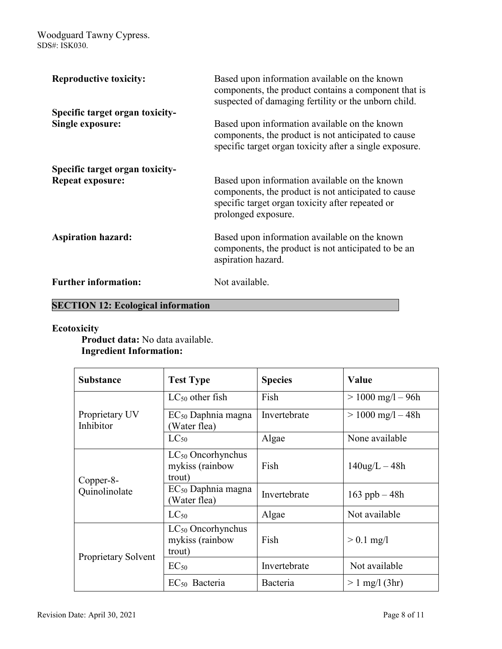| <b>Reproductive toxicity:</b>                              | Based upon information available on the known<br>components, the product contains a component that is<br>suspected of damaging fertility or the unborn child.                   |
|------------------------------------------------------------|---------------------------------------------------------------------------------------------------------------------------------------------------------------------------------|
| Specific target organ toxicity-<br><b>Single exposure:</b> | Based upon information available on the known<br>components, the product is not anticipated to cause<br>specific target organ toxicity after a single exposure.                 |
| Specific target organ toxicity-<br><b>Repeat exposure:</b> | Based upon information available on the known<br>components, the product is not anticipated to cause<br>specific target organ toxicity after repeated or<br>prolonged exposure. |
| <b>Aspiration hazard:</b>                                  | Based upon information available on the known<br>components, the product is not anticipated to be an<br>aspiration hazard.                                                      |
| <b>Further information:</b>                                | Not available.                                                                                                                                                                  |

# **SECTION 12: Ecological information**

# **Ecotoxicity**

**Product data:** No data available. **Ingredient Information:**

| <b>Substance</b>                                                 | <b>Test Type</b>                                    | <b>Species</b> | Value                 |
|------------------------------------------------------------------|-----------------------------------------------------|----------------|-----------------------|
| Proprietary UV<br>Inhibitor                                      | $LC_{50}$ other fish                                | Fish           | $> 1000$ mg/l $- 96h$ |
|                                                                  | $EC_{50}$ Daphnia magna<br>Water flea)              | Invertebrate   | $> 1000$ mg/l $- 48h$ |
|                                                                  | $LC_{50}$                                           | Algae          | None available        |
| trout)<br>Copper-8-<br>Quinolinolate<br>Water flea)<br>$LC_{50}$ | $LC_{50}$ Oncorhynchus<br>mykiss (rainbow           | Fish           | $140$ ug/L $-48h$     |
|                                                                  | $EC_{50}$ Daphnia magna                             | Invertebrate   | $163$ ppb $-48h$      |
|                                                                  |                                                     | Algae          | Not available         |
| Proprietary Solvent                                              | $LC_{50}$ Oncorhynchus<br>mykiss (rainbow<br>trout) | Fish           | $> 0.1$ mg/l          |
|                                                                  | $EC_{50}$                                           | Invertebrate   | Not available         |
|                                                                  | $EC_{50}$ Bacteria                                  | Bacteria       | $> 1$ mg/l (3hr)      |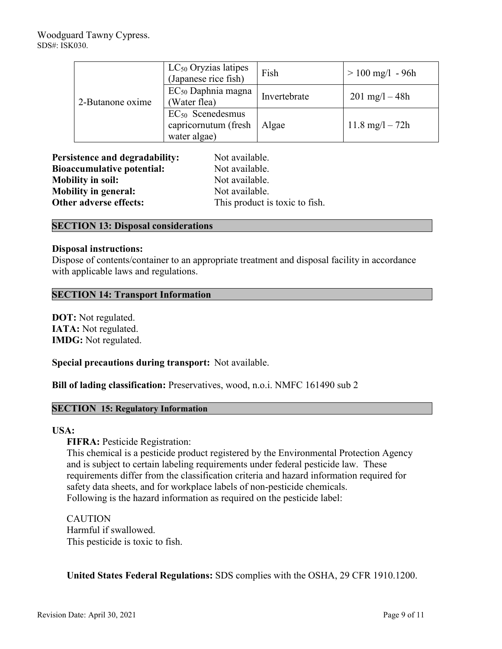| 2-Butanone oxime | LC <sub>50</sub> Oryzias latipes<br>(Japanese rice fish)      | Fish         | $> 100$ mg/l - 96h        |
|------------------|---------------------------------------------------------------|--------------|---------------------------|
|                  | $EC_{50}$ Daphnia magna<br>(Water flea)                       | Invertebrate | $201 \text{ mg}/1 - 48h$  |
|                  | $EC_{50}$ Scenedesmus<br>capricornutum (fresh<br>water algae) | Algae        | $11.8 \text{ mg}/1 - 72h$ |

| <b>Persistence and degradability:</b> | Not available.                 |  |
|---------------------------------------|--------------------------------|--|
| <b>Bioaccumulative potential:</b>     | Not available.                 |  |
| <b>Mobility in soil:</b>              | Not available.                 |  |
| <b>Mobility in general:</b>           | Not available.                 |  |
| Other adverse effects:                | This product is toxic to fish. |  |

# **SECTION 13: Disposal considerations**

# **Disposal instructions:**

Dispose of contents/container to an appropriate treatment and disposal facility in accordance with applicable laws and regulations.

# **SECTION 14: Transport Information**

**DOT:** Not regulated. **IATA:** Not regulated. **IMDG:** Not regulated.

**Special precautions during transport:** Not available.

**Bill of lading classification:** Preservatives, wood, n.o.i. NMFC 161490 sub 2

# **SECTION 15: Regulatory Information**

# **USA:**

**FIFRA:** Pesticide Registration:

This chemical is a pesticide product registered by the Environmental Protection Agency and is subject to certain labeling requirements under federal pesticide law. These requirements differ from the classification criteria and hazard information required for safety data sheets, and for workplace labels of non-pesticide chemicals. Following is the hazard information as required on the pesticide label:

CAUTION Harmful if swallowed. This pesticide is toxic to fish.

**United States Federal Regulations:** SDS complies with the OSHA, 29 CFR 1910.1200.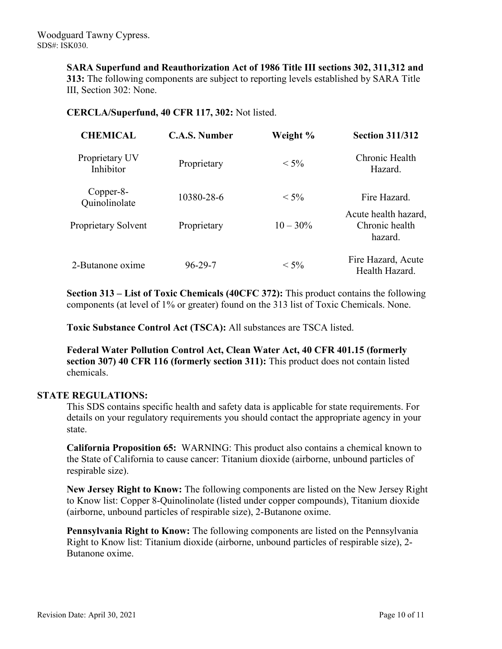**SARA Superfund and Reauthorization Act of 1986 Title III sections 302, 311,312 and 313:** The following components are subject to reporting levels established by SARA Title III, Section 302: None.

# **CERCLA/Superfund, 40 CFR 117, 302:** Not listed.

| <b>CHEMICAL</b>             | <b>C.A.S. Number</b> | Weight %    | <b>Section 311/312</b>                            |
|-----------------------------|----------------------|-------------|---------------------------------------------------|
| Proprietary UV<br>Inhibitor | Proprietary          | $< 5\%$     | Chronic Health<br>Hazard.                         |
| Copper-8-<br>Quinolinolate  | 10380-28-6           | $< 5\%$     | Fire Hazard.                                      |
| Proprietary Solvent         | Proprietary          | $10 - 30\%$ | Acute health hazard,<br>Chronic health<br>hazard. |
| 2-Butanone oxime            | $96 - 29 - 7$        | $< 5\%$     | Fire Hazard, Acute<br>Health Hazard.              |

**Section 313 – List of Toxic Chemicals (40CFC 372):** This product contains the following components (at level of 1% or greater) found on the 313 list of Toxic Chemicals. None.

**Toxic Substance Control Act (TSCA):** All substances are TSCA listed.

**Federal Water Pollution Control Act, Clean Water Act, 40 CFR 401.15 (formerly section 307) 40 CFR 116 (formerly section 311):** This product does not contain listed chemicals.

# **STATE REGULATIONS:**

This SDS contains specific health and safety data is applicable for state requirements. For details on your regulatory requirements you should contact the appropriate agency in your state.

**California Proposition 65:** WARNING: This product also contains a chemical known to the State of California to cause cancer: Titanium dioxide (airborne, unbound particles of respirable size).

**New Jersey Right to Know:** The following components are listed on the New Jersey Right to Know list: Copper 8-Quinolinolate (listed under copper compounds), Titanium dioxide (airborne, unbound particles of respirable size), 2-Butanone oxime.

**Pennsylvania Right to Know:** The following components are listed on the Pennsylvania Right to Know list: Titanium dioxide (airborne, unbound particles of respirable size), 2- Butanone oxime.